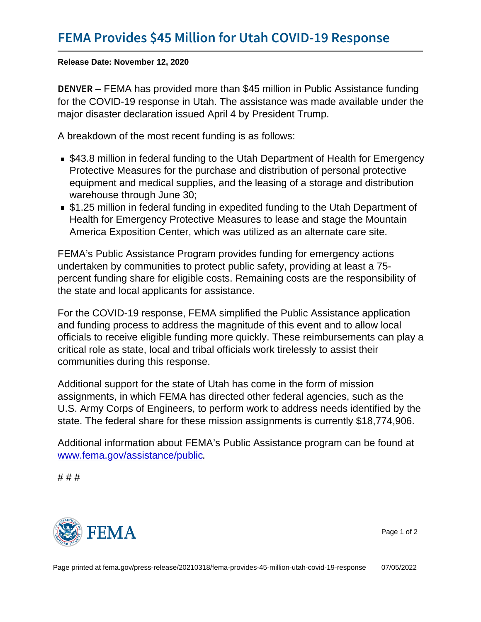Release Date: November 12, 2020

DENV-ERMA has provided more than \$45 million in Public Assistance funding for the COVID-19 response in Utah. The assistance was made available under the major disaster declaration issued April 4 by President Trump.

A breakdown of the most recent funding is as follows:

- \$43.8 million in federal funding to the Utah Department of Health for Emergency Protective Measures for the purchase and distribution of personal protective equipment and medical supplies, and the leasing of a storage and distribution warehouse through June 30;
- \$1.25 million in federal funding in expedited funding to the Utah Department of Health for Emergency Protective Measures to lease and stage the Mountain America Exposition Center, which was utilized as an alternate care site.

FEMA's Public Assistance Program provides funding for emergency actions undertaken by communities to protect public safety, providing at least a 75 percent funding share for eligible costs. Remaining costs are the responsibility of the state and local applicants for assistance.

For the COVID-19 response, FEMA simplified the Public Assistance application and funding process to address the magnitude of this event and to allow local officials to receive eligible funding more quickly. These reimbursements can play a critical role as state, local and tribal officials work tirelessly to assist their communities during this response.

Additional support for the state of Utah has come in the form of mission assignments, in which FEMA has directed other federal agencies, such as the U.S. Army Corps of Engineers, to perform work to address needs identified by the state. The federal share for these mission assignments is currently \$18,774,906.

Additional information about FEMA's Public Assistance program can be found at [www.fema.gov/assistance/public.](http://www.fema.gov/assistance/public)

# # #



Page 1 of 2